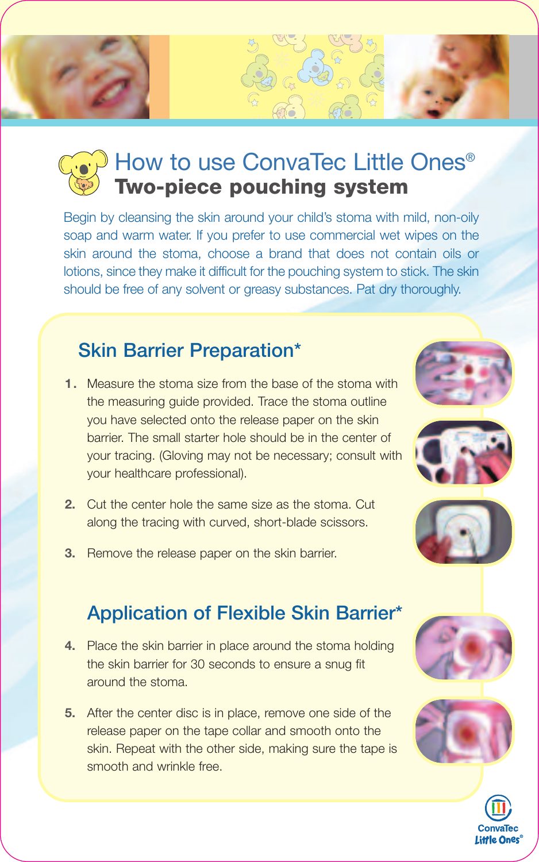# How to use ConvaTec Little Ones<sup>®</sup> **Two-piece pouching system**

Begin by cleansing the skin around your child's stoma with mild, non-oily soap and warm water. If you prefer to use commercial wet wipes on the skin around the stoma, choose a brand that does not contain oils or lotions, since they make it difficult for the pouching system to stick. The skin should be free of any solvent or greasy substances. Pat dry thoroughly.

## **Skin Barrier Preparation\***

- **1.** Measure the stoma size from the base of the stoma with the measuring guide provided. Trace the stoma outline you have selected onto the release paper on the skin barrier. The small starter hole should be in the center of your tracing. (Gloving may not be necessary; consult with your healthcare professional).
- **2.** Cut the center hole the same size as the stoma. Cut along the tracing with curved, short-blade scissors.
- **3.** Remove the release paper on the skin barrier.

## **Application of Flexible Skin Barrier\***

- **4.** Place the skin barrier in place around the stoma holding the skin barrier for 30 seconds to ensure a snug fit around the stoma.
- **5.** After the center disc is in place, remove one side of the release paper on the tape collar and smooth onto the skin. Repeat with the other side, making sure the tape is smooth and wrinkle free.











**Little Ones**